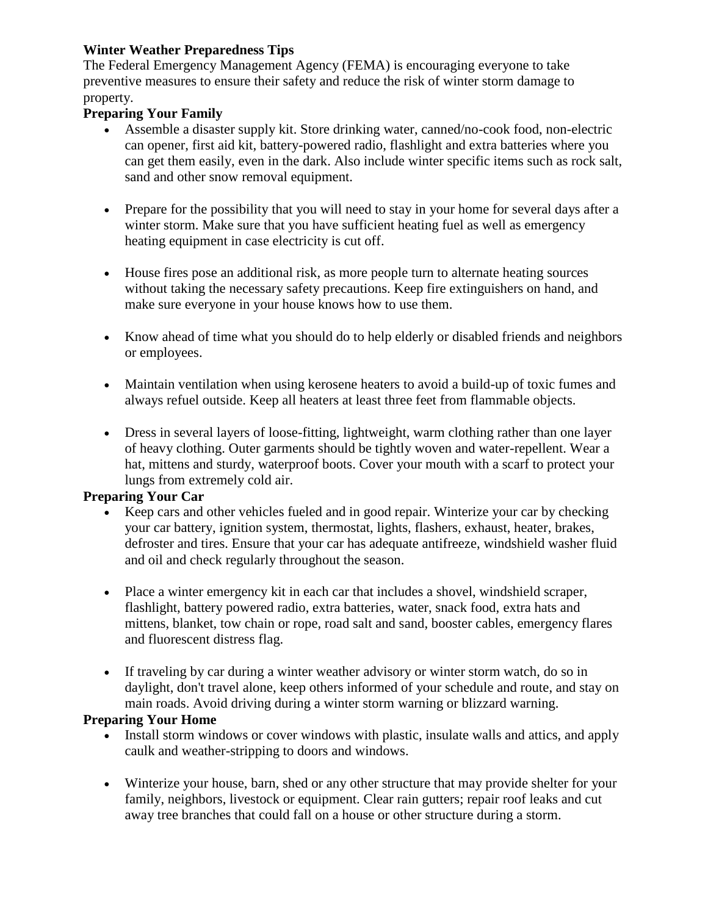### **Winter Weather Preparedness Tips**

The Federal Emergency Management Agency (FEMA) is encouraging everyone to take preventive measures to ensure their safety and reduce the risk of winter storm damage to property.

### **Preparing Your Family**

- Assemble a disaster supply kit. Store drinking water, canned/no-cook food, non-electric can opener, first aid kit, battery-powered radio, flashlight and extra batteries where you can get them easily, even in the dark. Also include winter specific items such as rock salt, sand and other snow removal equipment.
- Prepare for the possibility that you will need to stay in your home for several days after a winter storm. Make sure that you have sufficient heating fuel as well as emergency heating equipment in case electricity is cut off.
- House fires pose an additional risk, as more people turn to alternate heating sources without taking the necessary safety precautions. Keep fire extinguishers on hand, and make sure everyone in your house knows how to use them.
- Know ahead of time what you should do to help elderly or disabled friends and neighbors or employees.
- Maintain ventilation when using kerosene heaters to avoid a build-up of toxic fumes and always refuel outside. Keep all heaters at least three feet from flammable objects.
- Dress in several layers of loose-fitting, lightweight, warm clothing rather than one layer of heavy clothing. Outer garments should be tightly woven and water-repellent. Wear a hat, mittens and sturdy, waterproof boots. Cover your mouth with a scarf to protect your lungs from extremely cold air.

#### **Preparing Your Car**

- Keep cars and other vehicles fueled and in good repair. Winterize your car by checking your car battery, ignition system, thermostat, lights, flashers, exhaust, heater, brakes, defroster and tires. Ensure that your car has adequate antifreeze, windshield washer fluid and oil and check regularly throughout the season.
- Place a winter emergency kit in each car that includes a shovel, windshield scraper, flashlight, battery powered radio, extra batteries, water, snack food, extra hats and mittens, blanket, tow chain or rope, road salt and sand, booster cables, emergency flares and fluorescent distress flag.
- If traveling by car during a winter weather advisory or winter storm watch, do so in daylight, don't travel alone, keep others informed of your schedule and route, and stay on main roads. Avoid driving during a winter storm warning or blizzard warning.

#### **Preparing Your Home**

- Install storm windows or cover windows with plastic, insulate walls and attics, and apply caulk and weather-stripping to doors and windows.
- Winterize your house, barn, shed or any other structure that may provide shelter for your family, neighbors, livestock or equipment. Clear rain gutters; repair roof leaks and cut away tree branches that could fall on a house or other structure during a storm.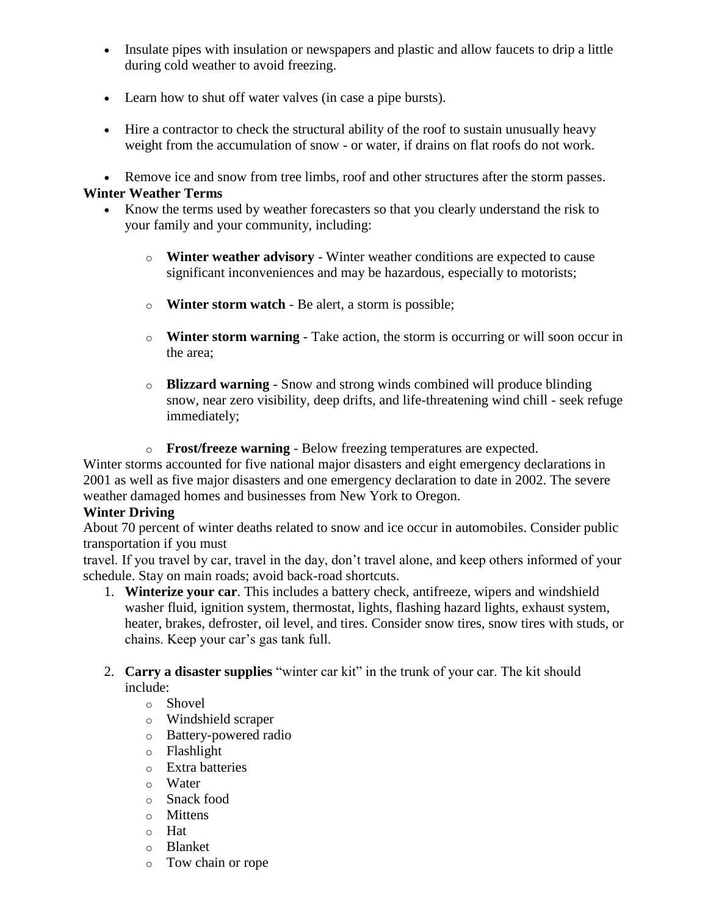- Insulate pipes with insulation or newspapers and plastic and allow faucets to drip a little during cold weather to avoid freezing.
- Learn how to shut off water valves (in case a pipe bursts).
- Hire a contractor to check the structural ability of the roof to sustain unusually heavy weight from the accumulation of snow - or water, if drains on flat roofs do not work.

 Remove ice and snow from tree limbs, roof and other structures after the storm passes. **Winter Weather Terms**

- Know the terms used by weather forecasters so that you clearly understand the risk to your family and your community, including:
	- o **Winter weather advisory** Winter weather conditions are expected to cause significant inconveniences and may be hazardous, especially to motorists;
	- o **Winter storm watch** Be alert, a storm is possible;
	- o **Winter storm warning** Take action, the storm is occurring or will soon occur in the area;
	- o **Blizzard warning** Snow and strong winds combined will produce blinding snow, near zero visibility, deep drifts, and life-threatening wind chill - seek refuge immediately;
	- o **Frost/freeze warning** Below freezing temperatures are expected.

Winter storms accounted for five national major disasters and eight emergency declarations in 2001 as well as five major disasters and one emergency declaration to date in 2002. The severe weather damaged homes and businesses from New York to Oregon.

# **Winter Driving**

About 70 percent of winter deaths related to snow and ice occur in automobiles. Consider public transportation if you must

travel. If you travel by car, travel in the day, don't travel alone, and keep others informed of your schedule. Stay on main roads; avoid back-road shortcuts.

1. **Winterize your car**. This includes a battery check, antifreeze, wipers and windshield washer fluid, ignition system, thermostat, lights, flashing hazard lights, exhaust system, heater, brakes, defroster, oil level, and tires. Consider snow tires, snow tires with studs, or chains. Keep your car's gas tank full.

### 2. **Carry a disaster supplies** "winter car kit" in the trunk of your car. The kit should include:

o Shovel

- o Windshield scraper
- o Battery-powered radio
- o Flashlight
- o Extra batteries
- o Water
- o Snack food
- o Mittens
- o Hat
- o Blanket
- o Tow chain or rope